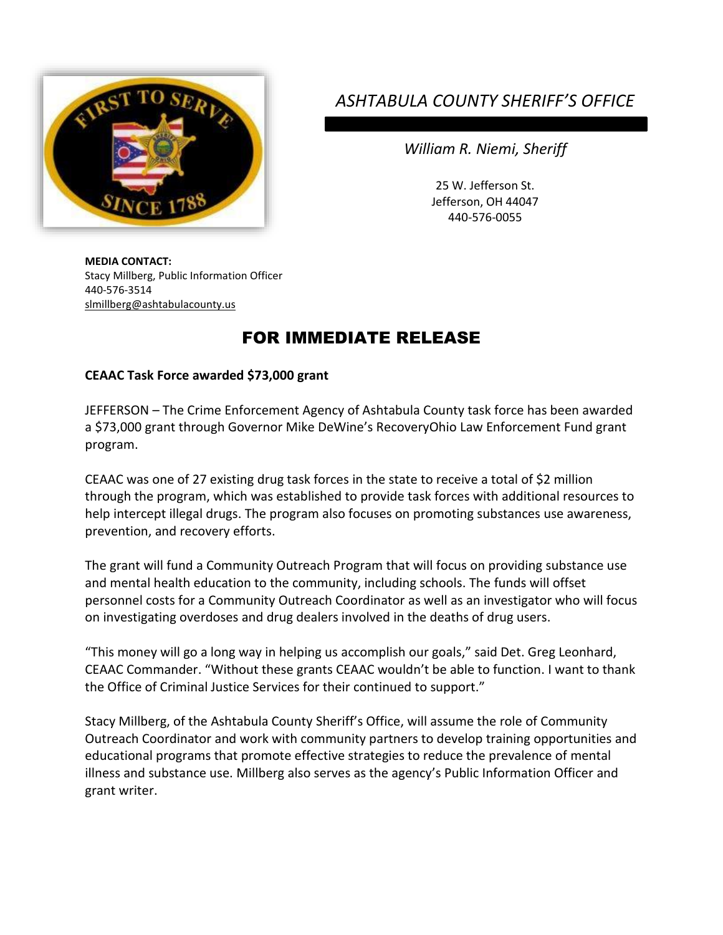

## *ASHTABULA COUNTY SHERIFF'S OFFICE*

*William R. Niemi, Sheriff*

25 W. Jefferson St. Jefferson, OH 44047 440-576-0055

**MEDIA CONTACT:** Stacy Millberg, Public Information Officer 440-576-3514 [slmillberg@ashtabulacounty.us](mailto:slmillberg@ashtabulacounty.us)

## FOR IMMEDIATE RELEASE

## **CEAAC Task Force awarded \$73,000 grant**

JEFFERSON – The Crime Enforcement Agency of Ashtabula County task force has been awarded a \$73,000 grant through Governor Mike DeWine's RecoveryOhio Law Enforcement Fund grant program.

CEAAC was one of 27 existing drug task forces in the state to receive a total of \$2 million through the program, which was established to provide task forces with additional resources to help intercept illegal drugs. The program also focuses on promoting substances use awareness, prevention, and recovery efforts.

The grant will fund a Community Outreach Program that will focus on providing substance use and mental health education to the community, including schools. The funds will offset personnel costs for a Community Outreach Coordinator as well as an investigator who will focus on investigating overdoses and drug dealers involved in the deaths of drug users.

"This money will go a long way in helping us accomplish our goals," said Det. Greg Leonhard, CEAAC Commander. "Without these grants CEAAC wouldn't be able to function. I want to thank the Office of Criminal Justice Services for their continued to support."

Stacy Millberg, of the Ashtabula County Sheriff's Office, will assume the role of Community Outreach Coordinator and work with community partners to develop training opportunities and educational programs that promote effective strategies to reduce the prevalence of mental illness and substance use. Millberg also serves as the agency's Public Information Officer and grant writer.